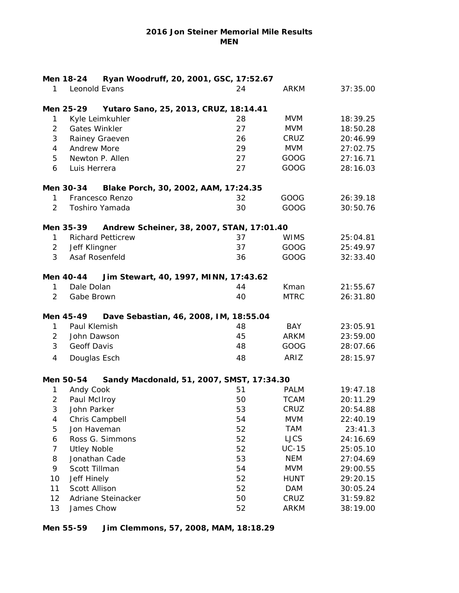## **2016 Jon Steiner Memorial Mile Results MEN**

| Ryan Woodruff, 20, 2001, GSC, 17:52.67<br>Men 18-24 |                      |                          |                                           |             |          |  |  |
|-----------------------------------------------------|----------------------|--------------------------|-------------------------------------------|-------------|----------|--|--|
| 1                                                   | Leonold Evans        |                          | 24                                        | <b>ARKM</b> | 37:35.00 |  |  |
|                                                     | Men 25-29            |                          | Yutaro Sano, 25, 2013, CRUZ, 18:14.41     |             |          |  |  |
| 1                                                   |                      | Kyle Leimkuhler          | 28                                        | <b>MVM</b>  | 18:39.25 |  |  |
| $\overline{2}$                                      | <b>Gates Winkler</b> |                          | 27                                        | <b>MVM</b>  | 18:50.28 |  |  |
| 3                                                   |                      | Rainey Graeven           | 26                                        | CRUZ        | 20:46.99 |  |  |
| 4                                                   | <b>Andrew More</b>   |                          | 29                                        | <b>MVM</b>  | 27:02.75 |  |  |
| 5                                                   | Newton P. Allen      |                          | 27                                        | GOOG        | 27:16.71 |  |  |
| 6                                                   | Luis Herrera         |                          | 27                                        | GOOG        | 28:16.03 |  |  |
|                                                     | Men 30-34            |                          | Blake Porch, 30, 2002, AAM, 17:24.35      |             |          |  |  |
| 1                                                   |                      | Francesco Renzo          | 32                                        | GOOG        | 26:39.18 |  |  |
| 2                                                   |                      | Toshiro Yamada           | 30                                        | GOOG        | 30:50.76 |  |  |
|                                                     | Men 35-39            |                          | Andrew Scheiner, 38, 2007, STAN, 17:01.40 |             |          |  |  |
| 1                                                   |                      | <b>Richard Petticrew</b> | 37                                        | <b>WIMS</b> | 25:04.81 |  |  |
| $\overline{2}$                                      | Jeff Klingner        |                          | 37                                        | GOOG        | 25:49.97 |  |  |
| 3                                                   | Asaf Rosenfeld       |                          | 36                                        | GOOG        | 32:33.40 |  |  |
|                                                     | Men 40-44            |                          | Jim Stewart, 40, 1997, MINN, 17:43.62     |             |          |  |  |
| 1                                                   | Dale Dolan           |                          | 44                                        | Kman        | 21:55.67 |  |  |
| 2                                                   | Gabe Brown           |                          | 40                                        | <b>MTRC</b> | 26:31.80 |  |  |
|                                                     | Men 45-49            |                          | Dave Sebastian, 46, 2008, IM, 18:55.04    |             |          |  |  |
| 1                                                   | Paul Klemish         |                          | 48                                        | <b>BAY</b>  | 23:05.91 |  |  |
| $\overline{2}$                                      | John Dawson          |                          | 45                                        | ARKM        | 23:59.00 |  |  |
| 3                                                   | Geoff Davis          |                          | 48                                        | GOOG        | 28:07.66 |  |  |
| 4                                                   | Douglas Esch         |                          | 48                                        | ARIZ        | 28:15.97 |  |  |
|                                                     | Men 50-54            |                          | Sandy Macdonald, 51, 2007, SMST, 17:34.30 |             |          |  |  |
| 1                                                   | Andy Cook            |                          | 51                                        | <b>PALM</b> | 19:47.18 |  |  |
| 2                                                   | Paul McIlroy         |                          | 50                                        | <b>TCAM</b> | 20:11.29 |  |  |
| $\mathbf{3}$                                        | John Parker          |                          | 53                                        | CRUZ        | 20:54.88 |  |  |
| 4                                                   | Chris Campbell       |                          | 54                                        | <b>MVM</b>  | 22:40.19 |  |  |
| 5                                                   | Jon Haveman          |                          | 52                                        | <b>TAM</b>  | 23:41.3  |  |  |
| 6                                                   | Ross G. Simmons      |                          | 52                                        | <b>LJCS</b> | 24:16.69 |  |  |
| 7                                                   | <b>Utley Noble</b>   |                          | 52                                        | $UC-15$     | 25:05.10 |  |  |
| 8                                                   | Jonathan Cade        |                          | 53                                        | <b>NEM</b>  | 27:04.69 |  |  |
| 9                                                   | Scott Tillman        |                          | 54                                        | <b>MVM</b>  | 29:00.55 |  |  |
| 10                                                  | Jeff Hinely          |                          | 52                                        | <b>HUNT</b> | 29:20.15 |  |  |
| 11                                                  | Scott Allison        |                          | 52                                        | <b>DAM</b>  | 30:05.24 |  |  |
| 12                                                  | Adriane Steinacker   |                          | 50                                        | CRUZ        | 31:59.82 |  |  |
| 13                                                  | James Chow           |                          | 52                                        | ARKM        | 38:19.00 |  |  |

## **Men 55-59 Jim Clemmons, 57, 2008, MAM, 18:18.29**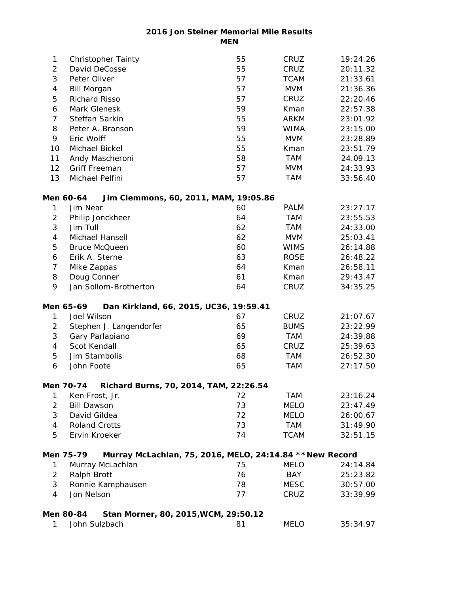**2016 Jon Steiner Memorial Mile Results MEN**

| 1              | <b>Christopher Tainty</b>                                             | 55 | CRUZ        | 19:24.26 |
|----------------|-----------------------------------------------------------------------|----|-------------|----------|
| 2              | David DeCosse                                                         | 55 | CRUZ        | 20:11.32 |
| 3              | Peter Oliver                                                          | 57 | <b>TCAM</b> | 21:33.61 |
| 4              | <b>Bill Morgan</b>                                                    | 57 | <b>MVM</b>  | 21:36.36 |
| 5              | <b>Richard Risso</b>                                                  | 57 | CRUZ        | 22:20.46 |
| 6              | Mark Glenesk                                                          | 59 | Kman        | 22:57.38 |
| $\overline{7}$ | Steffan Sarkin                                                        | 55 | <b>ARKM</b> | 23:01.92 |
| 8              | Peter A. Branson                                                      | 59 | <b>WIMA</b> | 23:15.00 |
| 9              | Eric Wolff                                                            | 55 | <b>MVM</b>  | 23:28.89 |
| 10             | Michael Bickel                                                        | 55 | Kman        | 23:51.79 |
| 11             | Andy Mascheroni                                                       | 58 | <b>TAM</b>  | 24.09.13 |
| 12             | Griff Freeman                                                         | 57 | <b>MVM</b>  | 24:33.93 |
| 13             | Michael Pelfini                                                       | 57 | <b>TAM</b>  | 33:56.40 |
|                | Men 60-64<br>Jim Clemmons, 60, 2011, MAM, 19:05.86                    |    |             |          |
| 1              | Jim Near                                                              | 60 | <b>PALM</b> | 23:27.17 |
| $\overline{2}$ | Philip Jonckheer                                                      | 64 | <b>TAM</b>  | 23:55.53 |
| 3              | Jim Tull                                                              | 62 | TAM         | 24:33.00 |
| 4              | Michael Hansell                                                       | 62 | <b>MVM</b>  | 25:03.41 |
| 5              | <b>Bruce McQueen</b>                                                  | 60 | <b>WIMS</b> | 26:14.88 |
| 6              | Erik A. Sterne                                                        | 63 | <b>ROSE</b> | 26:48.22 |
| 7              | Mike Zappas                                                           | 64 | Kman        | 26:58.11 |
| 8              | Doug Conner                                                           | 61 | Kman        | 29:43.47 |
| 9              | Jan Sollom-Brotherton                                                 | 64 | CRUZ        | 34:35.25 |
|                | Men 65-69<br>Dan Kirkland, 66, 2015, UC36, 19:59.41                   |    |             |          |
| 1              | Joel Wilson                                                           | 67 | CRUZ        | 21:07.67 |
| 2              | Stephen J. Langendorfer                                               | 65 | <b>BUMS</b> | 23:22.99 |
| 3              | Gary Parlapiano                                                       | 69 | <b>TAM</b>  | 24:39.88 |
| 4              | Scot Kendall                                                          | 65 | CRUZ        | 25:39.63 |
| 5              | Jim Stambolis                                                         | 68 | <b>TAM</b>  | 26:52.30 |
| 6              | John Foote                                                            | 65 | <b>TAM</b>  | 27:17.50 |
|                | Richard Burns, 70, 2014, TAM, 22:26.54<br>Men 70-74                   |    |             |          |
| 1              | Ken Frost, Jr.                                                        | 72 | <b>TAM</b>  | 23:16.24 |
| $\overline{2}$ | <b>Bill Dawson</b>                                                    | 73 | <b>MELO</b> | 23:47.49 |
| 3              | David Gildea                                                          | 72 | <b>MELO</b> | 26:00.67 |
| 4              | <b>Roland Crotts</b>                                                  | 73 | TAM         | 31:49.90 |
| 5              | Ervin Kroeker                                                         | 74 | <b>TCAM</b> | 32:51.15 |
|                | Murray McLachlan, 75, 2016, MELO, 24:14.84 ** New Record<br>Men 75-79 |    |             |          |
| 1              | Murray McLachlan                                                      | 75 | MELO        | 24:14.84 |
| $\overline{2}$ | Ralph Brott                                                           | 76 | BAY         | 25:23.82 |
| 3              | Ronnie Kamphausen                                                     | 78 | <b>MESC</b> | 30:57.00 |
| 4              | Jon Nelson                                                            | 77 | CRUZ        | 33:39.99 |
|                | Stan Morner, 80, 2015, WCM, 29:50.12<br>Men 80-84                     |    |             |          |
| 1              | John Sulzbach                                                         | 81 | MELO        | 35:34.97 |